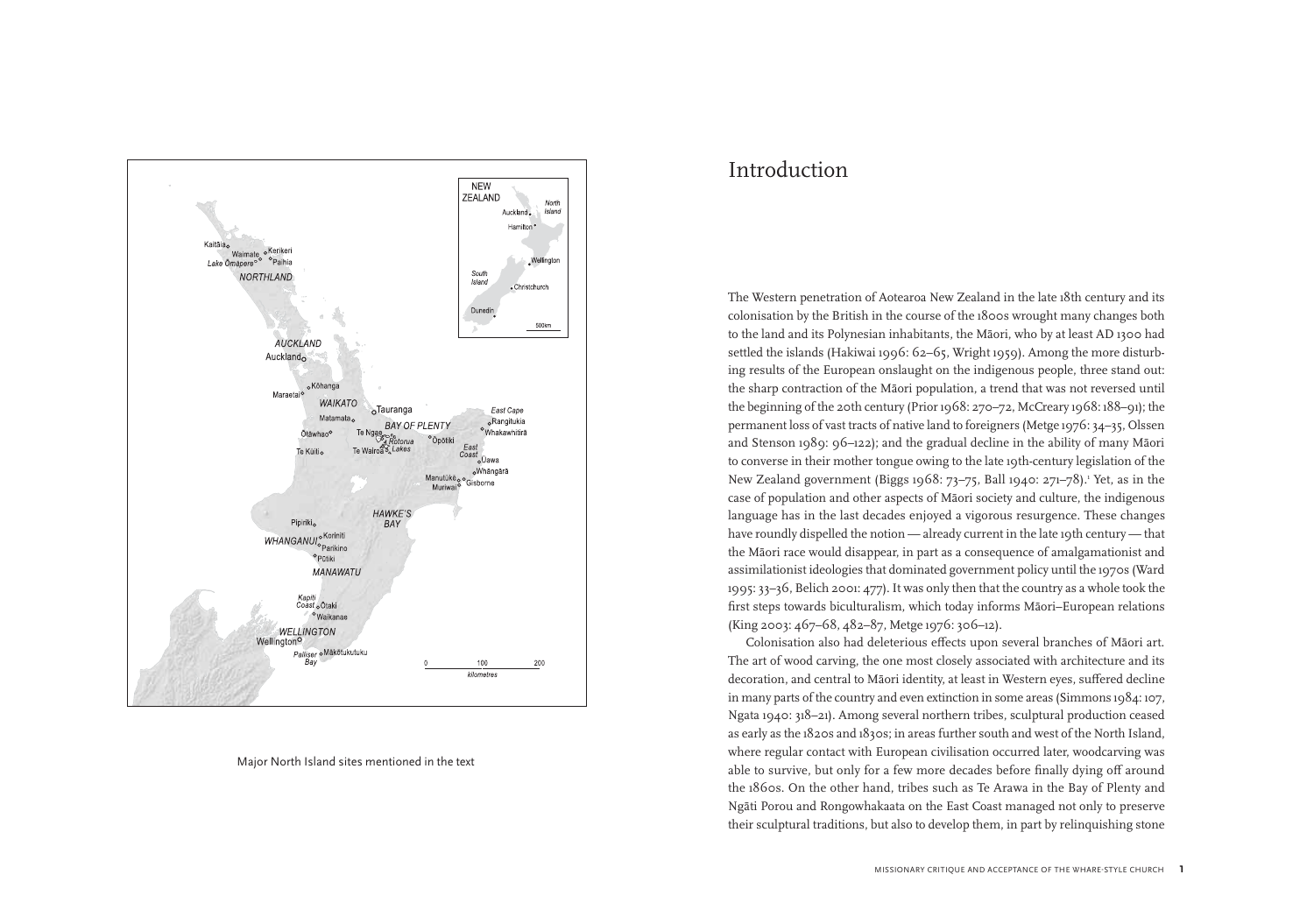

Major North Island sites mentioned in the text

## Introduction

The Western penetration of Aotearoa New Zealand in the late 18th century and its colonisation by the British in the course of the 1800s wrought many changes both to the land and its Polynesian inhabitants, the Māori, who by at least AD 1300 had settled the islands (Hakiwai 1996: 62–65, Wright 1959). Among the more disturbing results of the European onslaught on the indigenous people, three stand out: the sharp contraction of the Māori population, a trend that was not reversed until the beginning of the 20th century (Prior 1968: 270–72, McCreary 1968: 188–91); the permanent loss of vast tracts of native land to foreigners (Metge 1976: 34–35, Olssen and Stenson 1989: 96–122); and the gradual decline in the ability of many Māori to converse in their mother tongue owing to the late 19th-century legislation of the New Zealand government (Biggs 1968: 73–75, Ball 1940: 271–78).<sup>1</sup> Yet, as in the case of population and other aspects of Māori society and culture, the indigenous language has in the last decades enjoyed a vigorous resurgence. These changes have roundly dispelled the notion — already current in the late 19th century — that the Māori race would disappear, in part as a consequence of amalgamationist and assimilationist ideologies that dominated government policy until the 1970s (Ward 1995: 33–36, Belich 2001: 477). It was only then that the country as a whole took the first steps towards biculturalism, which today informs Māori–European relations (King 2003: 467–68, 482–87, Metge 1976: 306–12).

Colonisation also had deleterious effects upon several branches of Māori art. The art of wood carving, the one most closely associated with architecture and its decoration, and central to Māori identity, at least in Western eyes, suffered decline in many parts of the country and even extinction in some areas (Simmons 1984: 107, Ngata 1940: 318–21). Among several northern tribes, sculptural production ceased as early as the 1820s and 1830s; in areas further south and west of the North Island, where regular contact with European civilisation occurred later, woodcarving was able to survive, but only for a few more decades before finally dying off around the 1860s. On the other hand, tribes such as Te Arawa in the Bay of Plenty and Ngāti Porou and Rongowhakaata on the East Coast managed not only to preserve their sculptural traditions, but also to develop them, in part by relinquishing stone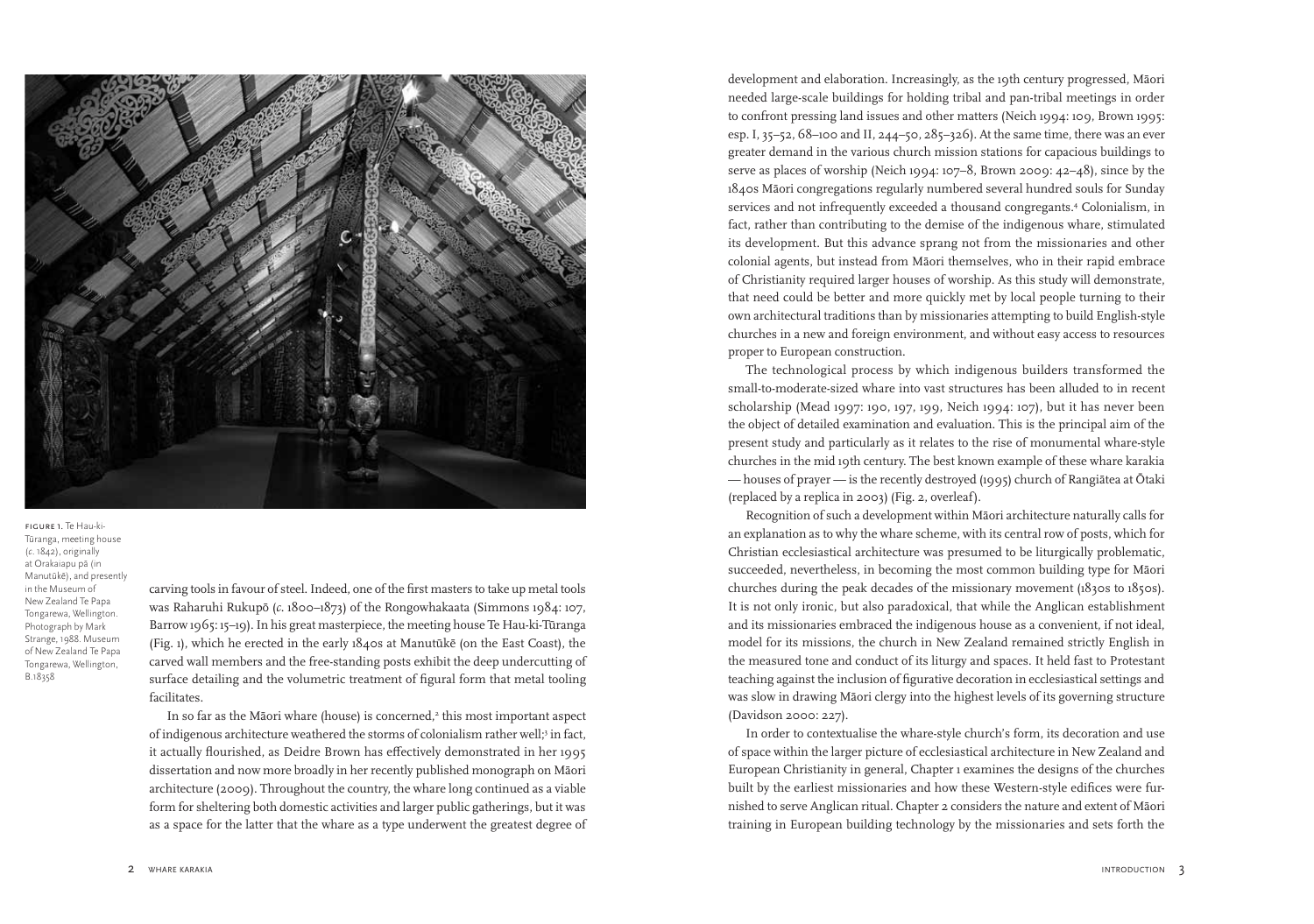

figure 1. Te Hau-ki-Tūranga, meeting house (*c*. 1842), originally at Orakaiapu pā (in Manutūkē), and presently in the Museum of New Zealand Te Papa Tongarewa, Wellington. Photograph by Mark Strange, 1988. Museum of New Zealand Te Papa Tongarewa, Wellington, B.18358

carving tools in favour of steel. Indeed, one of the first masters to take up metal tools was Raharuhi Rukupō (*c*. 1800–1873) of the Rongowhakaata (Simmons 1984: 107, Barrow 1965: 15–19). In his great masterpiece, the meeting house Te Hau-ki-Tūranga (Fig. 1), which he erected in the early 1840s at Manutūkē (on the East Coast), the carved wall members and the free-standing posts exhibit the deep undercutting of surface detailing and the volumetric treatment of figural form that metal tooling facilitates.

In so far as the Māori whare (house) is concerned, $^2$  this most important aspect of indigenous architecture weathered the storms of colonialism rather well;<sup>3</sup> in fact, it actually flourished, as Deidre Brown has effectively demonstrated in her 1995 dissertation and now more broadly in her recently published monograph on Māori architecture (2009). Throughout the country, the whare long continued as a viable form for sheltering both domestic activities and larger public gatherings, but it was as a space for the latter that the whare as a type underwent the greatest degree of

development and elaboration. Increasingly, as the 19th century progressed, Māori needed large-scale buildings for holding tribal and pan-tribal meetings in order to confront pressing land issues and other matters (Neich 1994: 109, Brown 1995: esp. I, 35–52, 68–100 and II, 244–50, 285–326). At the same time, there was an ever greater demand in the various church mission stations for capacious buildings to serve as places of worship (Neich 1994: 107–8, Brown 2009: 42–48), since by the 1840s Māori congregations regularly numbered several hundred souls for Sunday services and not infrequently exceeded a thousand congregants.4 Colonialism, in fact, rather than contributing to the demise of the indigenous whare, stimulated its development. But this advance sprang not from the missionaries and other colonial agents, but instead from Māori themselves, who in their rapid embrace of Christianity required larger houses of worship. As this study will demonstrate, that need could be better and more quickly met by local people turning to their own architectural traditions than by missionaries attempting to build English-style churches in a new and foreign environment, and without easy access to resources proper to European construction.

The technological process by which indigenous builders transformed the small-to-moderate-sized whare into vast structures has been alluded to in recent scholarship (Mead 1997: 190, 197, 199, Neich 1994: 107), but it has never been the object of detailed examination and evaluation. This is the principal aim of the present study and particularly as it relates to the rise of monumental whare-style churches in the mid 19th century. The best known example of these whare karakia — houses of prayer — is the recently destroyed (1995) church of Rangiātea at Ōtaki (replaced by a replica in 2003) (Fig. 2, overleaf).

Recognition of such a development within Māori architecture naturally calls for an explanation as to why the whare scheme, with its central row of posts, which for Christian ecclesiastical architecture was presumed to be liturgically problematic, succeeded, nevertheless, in becoming the most common building type for Māori churches during the peak decades of the missionary movement (1830s to 1850s). It is not only ironic, but also paradoxical, that while the Anglican establishment and its missionaries embraced the indigenous house as a convenient, if not ideal, model for its missions, the church in New Zealand remained strictly English in the measured tone and conduct of its liturgy and spaces. It held fast to Protestant teaching against the inclusion of figurative decoration in ecclesiastical settings and was slow in drawing Māori clergy into the highest levels of its governing structure (Davidson 2000: 227).

In order to contextualise the whare-style church's form, its decoration and use of space within the larger picture of ecclesiastical architecture in New Zealand and European Christianity in general, Chapter 1 examines the designs of the churches built by the earliest missionaries and how these Western-style edifices were furnished to serve Anglican ritual. Chapter 2 considers the nature and extent of Māori training in European building technology by the missionaries and sets forth the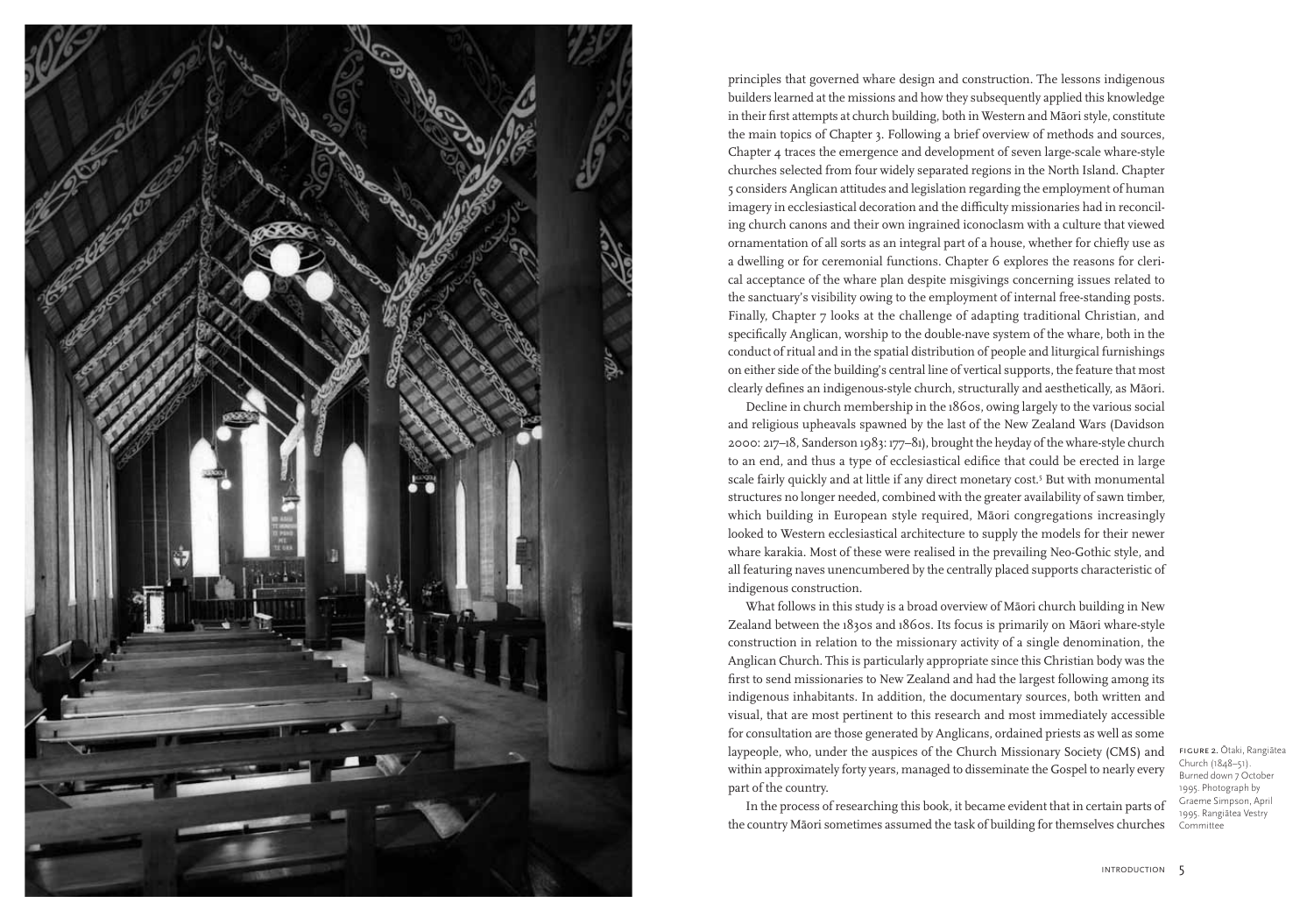

principles that governed whare design and construction. The lessons indigenous builders learned at the missions and how they subsequently applied this knowledge in their first attempts at church building, both in Western and Māori style, constitute the main topics of Chapter 3. Following a brief overview of methods and sources, Chapter 4 traces the emergence and development of seven large-scale whare-style churches selected from four widely separated regions in the North Island. Chapter 5 considers Anglican attitudes and legislation regarding the employment of human imagery in ecclesiastical decoration and the difficulty missionaries had in reconciling church canons and their own ingrained iconoclasm with a culture that viewed ornamentation of all sorts as an integral part of a house, whether for chiefly use as a dwelling or for ceremonial functions. Chapter 6 explores the reasons for clerical acceptance of the whare plan despite misgivings concerning issues related to the sanctuary's visibility owing to the employment of internal free-standing posts. Finally, Chapter 7 looks at the challenge of adapting traditional Christian, and specifically Anglican, worship to the double-nave system of the whare, both in the conduct of ritual and in the spatial distribution of people and liturgical furnishings on either side of the building's central line of vertical supports, the feature that most clearly defines an indigenous-style church, structurally and aesthetically, as Māori.

Decline in church membership in the 1860s, owing largely to the various social and religious upheavals spawned by the last of the New Zealand Wars (Davidson 2000: 217–18, Sanderson 1983: 177–81), brought the heyday of the whare-style church to an end, and thus a type of ecclesiastical edifice that could be erected in large scale fairly quickly and at little if any direct monetary cost.5 But with monumental structures no longer needed, combined with the greater availability of sawn timber, which building in European style required, Māori congregations increasingly looked to Western ecclesiastical architecture to supply the models for their newer whare karakia. Most of these were realised in the prevailing Neo-Gothic style, and all featuring naves unencumbered by the centrally placed supports characteristic of indigenous construction.

What follows in this study is a broad overview of Māori church building in New Zealand between the 1830s and 1860s. Its focus is primarily on Māori whare-style construction in relation to the missionary activity of a single denomination, the Anglican Church. This is particularly appropriate since this Christian body was the first to send missionaries to New Zealand and had the largest following among its indigenous inhabitants. In addition, the documentary sources, both written and visual, that are most pertinent to this research and most immediately accessible for consultation are those generated by Anglicans, ordained priests as well as some laypeople, who, under the auspices of the Church Missionary Society (CMS) and within approximately forty years, managed to disseminate the Gospel to nearly every part of the country.

In the process of researching this book, it became evident that in certain parts of the country Māori sometimes assumed the task of building for themselves churches

figure 2. Ōtaki, Rangiātea Church (1848–51). Burned down 7 October 1995. Photograph by Graeme Simpson, April 1995. Rangiātea Vestry Committee